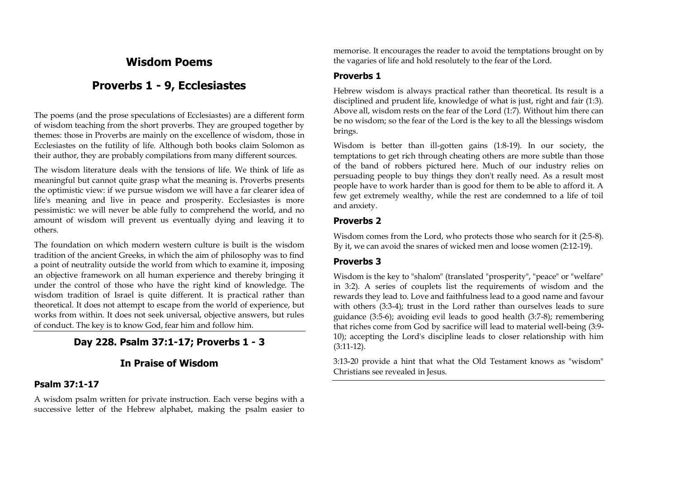# **Wisdom Poems**

# **Proverbs 1 - 9, Ecclesiastes**

The poems (and the prose speculations of Ecclesiastes) are a different form of wisdom teaching from the short proverbs. They are grouped together by themes: those in Proverbs are mainly on the excellence of wisdom, those in Ecclesiastes on the futility of life. Although both books claim Solomon as their author, they are probably compilations from many different sources.

The wisdom literature deals with the tensions of life. We think of life as meaningful but cannot quite grasp what the meaning is. Proverbs presents the optimistic view: if we pursue wisdom we will have a far clearer idea of life's meaning and live in peace and prosperity. Ecclesiastes is more pessimistic: we will never be able fully to comprehend the world, and no amount of wisdom will prevent us eventually dying and leaving it to others.

The foundation on which modern western culture is built is the wisdom tradition of the ancient Greeks, in which the aim of philosophy was to find a point of neutrality outside the world from which to examine it, imposing an objective framework on all human experience and thereby bringing it under the control of those who have the right kind of knowledge. The wisdom tradition of Israel is quite different. It is practical rather than theoretical. It does not attempt to escape from the world of experience, but works from within. It does not seek universal, objective answers, but rules of conduct. The key is to know God, fear him and follow him.

# **Day 228. Psalm 37:1-17; Proverbs 1 - 3**

# **In Praise of Wisdom**

### **Psalm 37:1-17**

A wisdom psalm written for private instruction. Each verse begins with a successive letter of the Hebrew alphabet, making the psalm easier to memorise. It encourages the reader to avoid the temptations brought on by the vagaries of life and hold resolutely to the fear of the Lord.

## **Proverbs 1**

Hebrew wisdom is always practical rather than theoretical. Its result is a disciplined and prudent life, knowledge of what is just, right and fair (1:3). Above all, wisdom rests on the fear of the Lord (1:7). Without him there can be no wisdom; so the fear of the Lord is the key to all the blessings wisdom brings.

Wisdom is better than ill-gotten gains (1:8-19). In our society, the temptations to get rich through cheating others are more subtle than those of the band of robbers pictured here. Much of our industry relies on persuading people to buy things they don't really need. As a result most people have to work harder than is good for them to be able to afford it. A few get extremely wealthy, while the rest are condemned to a life of toil and anxiety.

## **Proverbs 2**

Wisdom comes from the Lord, who protects those who search for it (2:5-8). By it, we can avoid the snares of wicked men and loose women (2:12-19).

# **Proverbs 3**

Wisdom is the key to "shalom" (translated "prosperity", "peace" or "welfare" in 3:2). A series of couplets list the requirements of wisdom and the rewards they lead to. Love and faithfulness lead to a good name and favour with others (3:3-4); trust in the Lord rather than ourselves leads to sure guidance (3:5-6); avoiding evil leads to good health (3:7-8); remembering that riches come from God by sacrifice will lead to material well-being (3:9- 10); accepting the Lord's discipline leads to closer relationship with him (3:11-12).

3:13-20 provide a hint that what the Old Testament knows as "wisdom" Christians see revealed in Jesus.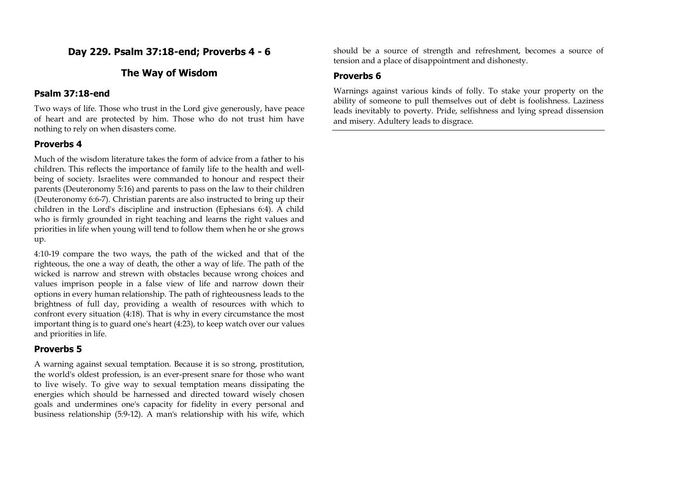# **Day 229. Psalm 37:18-end; Proverbs 4 - 6**

# **The Way of Wisdom**

### **Psalm 37:18-end**

Two ways of life. Those who trust in the Lord give generously, have peace of heart and are protected by him. Those who do not trust him have nothing to rely on when disasters come.

## **Proverbs 4**

Much of the wisdom literature takes the form of advice from a father to his children. This reflects the importance of family life to the health and wellbeing of society. Israelites were commanded to honour and respect their parents (Deuteronomy 5:16) and parents to pass on the law to their children (Deuteronomy 6:6-7). Christian parents are also instructed to bring up their children in the Lord's discipline and instruction (Ephesians 6:4). A child who is firmly grounded in right teaching and learns the right values and priorities in life when young will tend to follow them when he or she grows up.

4:10-19 compare the two ways, the path of the wicked and that of the righteous, the one a way of death, the other a way of life. The path of the wicked is narrow and strewn with obstacles because wrong choices and values imprison people in a false view of life and narrow down their options in every human relationship. The path of righteousness leads to the brightness of full day, providing a wealth of resources with which to confront every situation (4:18). That is why in every circumstance the most important thing is to guard one's heart (4:23), to keep watch over our values and priorities in life.

# **Proverbs 5**

A warning against sexual temptation. Because it is so strong, prostitution, the world's oldest profession, is an ever-present snare for those who want to live wisely. To give way to sexual temptation means dissipating the energies which should be harnessed and directed toward wisely chosen goals and undermines one's capacity for fidelity in every personal and business relationship (5:9-12). A man's relationship with his wife, which should be a source of strength and refreshment, becomes a source of tension and a place of disappointment and dishonesty.

# **Proverbs 6**

Warnings against various kinds of folly. To stake your property on the ability of someone to pull themselves out of debt is foolishness. Laziness leads inevitably to poverty. Pride, selfishness and lying spread dissension and misery. Adultery leads to disgrace.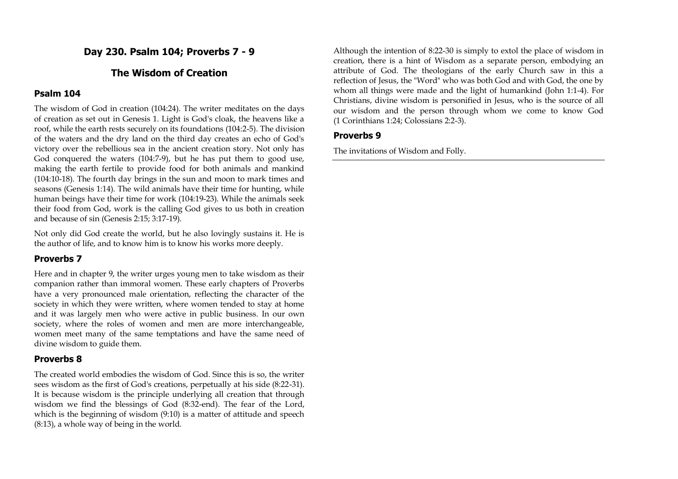# **Day 230. Psalm 104; Proverbs 7 - 9**

# **The Wisdom of Creation**

#### **Psalm 104**

The wisdom of God in creation (104:24). The writer meditates on the days of creation as set out in Genesis 1. Light is God's cloak, the heavens like a roof, while the earth rests securely on its foundations (104:2-5). The division of the waters and the dry land on the third day creates an echo of God's victory over the rebellious sea in the ancient creation story. Not only has God conquered the waters (104:7-9), but he has put them to good use, making the earth fertile to provide food for both animals and mankind (104:10-18). The fourth day brings in the sun and moon to mark times and seasons (Genesis 1:14). The wild animals have their time for hunting, while human beings have their time for work (104:19-23). While the animals seek their food from God, work is the calling God gives to us both in creation and because of sin (Genesis 2:15; 3:17-19).

Not only did God create the world, but he also lovingly sustains it. He is the author of life, and to know him is to know his works more deeply.

### **Proverbs 7**

Here and in chapter 9, the writer urges young men to take wisdom as their companion rather than immoral women. These early chapters of Proverbs have a very pronounced male orientation, reflecting the character of the society in which they were written, where women tended to stay at home and it was largely men who were active in public business. In our own society, where the roles of women and men are more interchangeable, women meet many of the same temptations and have the same need of divine wisdom to guide them.

### **Proverbs 8**

The created world embodies the wisdom of God. Since this is so, the writer sees wisdom as the first of God's creations, perpetually at his side (8:22-31). It is because wisdom is the principle underlying all creation that through wisdom we find the blessings of God (8:32-end). The fear of the Lord, which is the beginning of wisdom (9:10) is a matter of attitude and speech (8:13), a whole way of being in the world.

Although the intention of 8:22-30 is simply to extol the place of wisdom in creation, there is a hint of Wisdom as a separate person, embodying an attribute of God. The theologians of the early Church saw in this a reflection of Jesus, the "Word" who was both God and with God, the one by whom all things were made and the light of humankind (John 1:1-4). For Christians, divine wisdom is personified in Jesus, who is the source of all our wisdom and the person through whom we come to know God (1 Corinthians 1:24; Colossians 2:2-3).

### **Proverbs 9**

The invitations of Wisdom and Folly.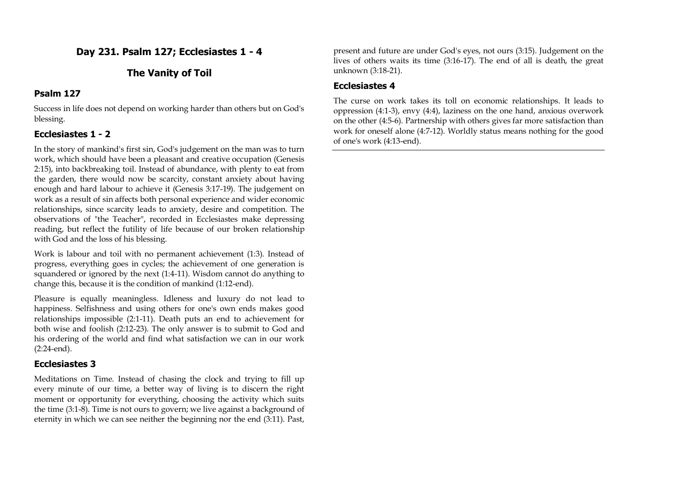# **Day 231. Psalm 127; Ecclesiastes 1 - 4**

# **The Vanity of Toil**

## **Psalm 127**

Success in life does not depend on working harder than others but on God's blessing.

# **Ecclesiastes 1 - 2**

In the story of mankind's first sin, God's judgement on the man was to turn work, which should have been a pleasant and creative occupation (Genesis 2:15), into backbreaking toil. Instead of abundance, with plenty to eat from the garden, there would now be scarcity, constant anxiety about having enough and hard labour to achieve it (Genesis 3:17-19). The judgement on work as a result of sin affects both personal experience and wider economic relationships, since scarcity leads to anxiety, desire and competition. The observations of "the Teacher", recorded in Ecclesiastes make depressing reading, but reflect the futility of life because of our broken relationship with God and the loss of his blessing.

Work is labour and toil with no permanent achievement (1:3). Instead of progress, everything goes in cycles; the achievement of one generation is squandered or ignored by the next (1:4-11). Wisdom cannot do anything to change this, because it is the condition of mankind (1:12-end).

Pleasure is equally meaningless. Idleness and luxury do not lead to happiness. Selfishness and using others for one's own ends makes good relationships impossible (2:1-11). Death puts an end to achievement for both wise and foolish (2:12-23). The only answer is to submit to God and his ordering of the world and find what satisfaction we can in our work (2:24-end).

### **Ecclesiastes 3**

Meditations on Time. Instead of chasing the clock and trying to fill up every minute of our time, a better way of living is to discern the right moment or opportunity for everything, choosing the activity which suits the time (3:1-8). Time is not ours to govern; we live against a background of eternity in which we can see neither the beginning nor the end (3:11). Past,

present and future are under God's eyes, not ours (3:15). Judgement on the lives of others waits its time (3:16-17). The end of all is death, the great unknown (3:18-21).

## **Ecclesiastes 4**

The curse on work takes its toll on economic relationships. It leads to oppression (4:1-3), envy (4:4), laziness on the one hand, anxious overwork on the other (4:5-6). Partnership with others gives far more satisfaction than work for oneself alone (4:7-12). Worldly status means nothing for the good of one's work (4:13-end).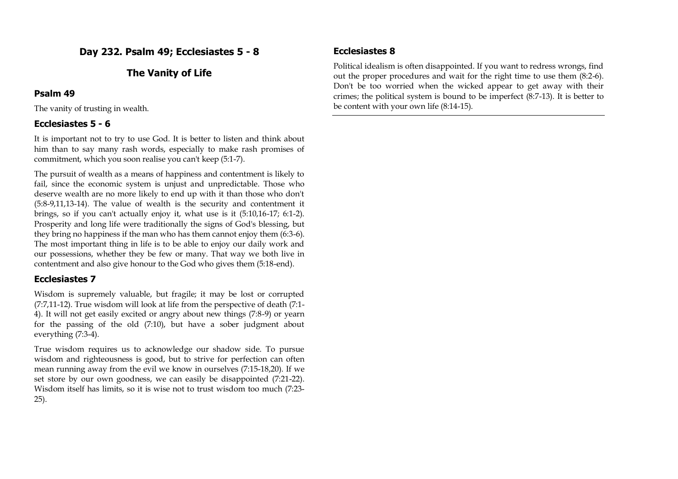# **Day 232. Psalm 49; Ecclesiastes 5 - 8**

# **The Vanity of Life**

## **Psalm 49**

The vanity of trusting in wealth.

# **Ecclesiastes 5 - 6**

It is important not to try to use God. It is better to listen and think about him than to say many rash words, especially to make rash promises of commitment, which you soon realise you can't keep (5:1-7).

The pursuit of wealth as a means of happiness and contentment is likely to fail, since the economic system is unjust and unpredictable. Those who deserve wealth are no more likely to end up with it than those who don't (5:8-9,11,13-14). The value of wealth is the security and contentment it brings, so if you can't actually enjoy it, what use is it (5:10,16-17; 6:1-2). Prosperity and long life were traditionally the signs of God's blessing, but they bring no happiness if the man who has them cannot enjoy them (6:3-6). The most important thing in life is to be able to enjoy our daily work and our possessions, whether they be few or many. That way we both live in contentment and also give honour to the God who gives them (5:18-end).

# **Ecclesiastes 7**

Wisdom is supremely valuable, but fragile; it may be lost or corrupted (7:7,11-12). True wisdom will look at life from the perspective of death (7:1- 4). It will not get easily excited or angry about new things (7:8-9) or yearn for the passing of the old (7:10), but have a sober judgment about everything (7:3-4).

True wisdom requires us to acknowledge our shadow side. To pursue wisdom and righteousness is good, but to strive for perfection can often mean running away from the evil we know in ourselves (7:15-18,20). If we set store by our own goodness, we can easily be disappointed (7:21-22). Wisdom itself has limits, so it is wise not to trust wisdom too much (7:23- 25).

# **Ecclesiastes 8**

Political idealism is often disappointed. If you want to redress wrongs, find out the proper procedures and wait for the right time to use them (8:2-6). Don't be too worried when the wicked appear to get away with their crimes; the political system is bound to be imperfect (8:7-13). It is better to be content with your own life (8:14-15).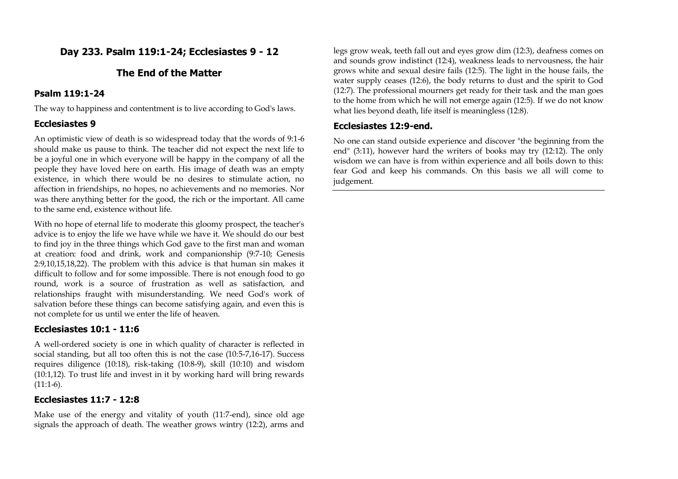# **Day 233. Psalm 119:1-24; Ecclesiastes 9 - 12**

# **The End of the Matter**

# **Psalm 119:1-24**

The way to happiness and contentment is to live according to God's laws.

# **Ecclesiastes 9**

An optimistic view of death is so widespread today that the words of 9:1-6 should make us pause to think. The teacher did not expect the next life to be a joyful one in which everyone will be happy in the company of all the people they have loved here on earth. His image of death was an empty existence, in which there would be no desires to stimulate action, no affection in friendships, no hopes, no achievements and no memories. Nor was there anything better for the good, the rich or the important. All came to the same end, existence without life.

With no hope of eternal life to moderate this gloomy prospect, the teacher's advice is to enjoy the life we have while we have it. We should do our best to find joy in the three things which God gave to the first man and woman at creation: food and drink, work and companionship (9:7-10; Genesis 2:9,10,15,18,22). The problem with this advice is that human sin makes it difficult to follow and for some impossible. There is not enough food to go round, work is a source of frustration as well as satisfaction, and relationships fraught with misunderstanding. We need God's work of salvation before these things can become satisfying again, and even this is not complete for us until we enter the life of heaven.

# **Ecclesiastes 10:1 - 11:6**

A well-ordered society is one in which quality of character is reflected in social standing, but all too often this is not the case (10:5-7,16-17). Success requires diligence (10:18), risk-taking (10:8-9), skill (10:10) and wisdom (10:1,12). To trust life and invest in it by working hard will bring rewards  $(11:1-6)$ .

# **Ecclesiastes 11:7 - 12:8**

Make use of the energy and vitality of youth (11:7-end), since old age signals the approach of death. The weather grows wintry (12:2), arms and

legs grow weak, teeth fall out and eyes grow dim (12:3), deafness comes on and sounds grow indistinct (12:4), weakness leads to nervousness, the hair grows white and sexual desire fails (12:5). The light in the house fails, the water supply ceases (12:6), the body returns to dust and the spirit to God (12:7). The professional mourners get ready for their task and the man goes to the home from which he will not emerge again (12:5). If we do not know what lies beyond death, life itself is meaningless (12:8).

# **Ecclesiastes 12:9-end.**

No one can stand outside experience and discover "the beginning from the end" (3:11), however hard the writers of books may try (12:12). The only wisdom we can have is from within experience and all boils down to this: fear God and keep his commands. On this basis we all will come to judgement.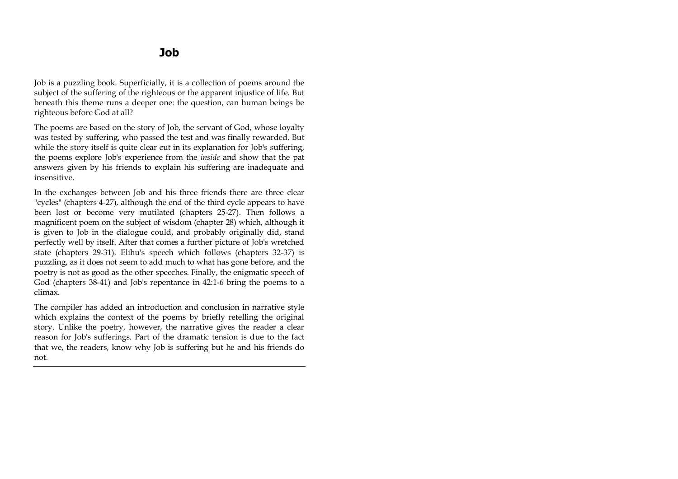Job is a puzzling book. Superficially, it is a collection of poems around the subject of the suffering of the righteous or the apparent injustice of life. But beneath this theme runs a deeper one: the question, can human beings be righteous before God at all?

The poems are based on the story of Job, the servant of God, whose loyalty was tested by suffering, who passed the test and was finally rewarded. But while the story itself is quite clear cut in its explanation for Job's suffering, the poems explore Job's experience from the *inside* and show that the pat answers given by his friends to explain his suffering are inadequate and insensitive.

In the exchanges between Job and his three friends there are three clear "cycles" (chapters 4-27), although the end of the third cycle appears to have been lost or become very mutilated (chapters 25-27). Then follows a magnificent poem on the subject of wisdom (chapter 28) which, although it is given to Job in the dialogue could, and probably originally did, stand perfectly well by itself. After that comes a further picture of Job's wretched state (chapters 29-31). Elihu's speech which follows (chapters 32-37) is puzzling, as it does not seem to add much to what has gone before, and the poetry is not as good as the other speeches. Finally, the enigmatic speech of God (chapters 38-41) and Job's repentance in 42:1-6 bring the poems to a climax.

The compiler has added an introduction and conclusion in narrative style which explains the context of the poems by briefly retelling the original story. Unlike the poetry, however, the narrative gives the reader a clear reason for Job's sufferings. Part of the dramatic tension is due to the fact that we, the readers, know why Job is suffering but he and his friends do not.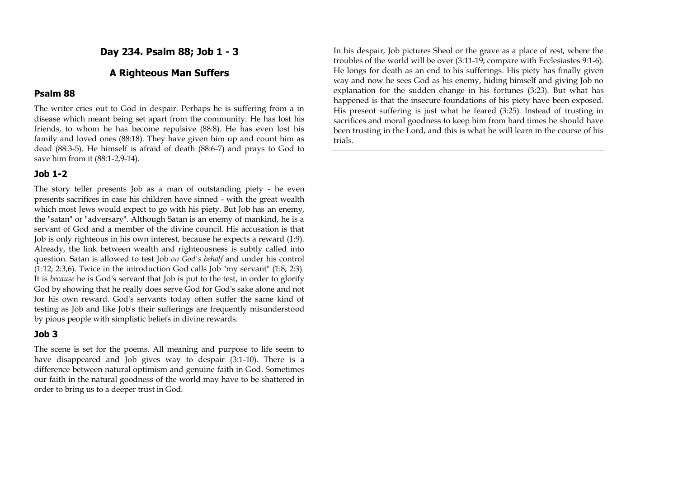**Day 234. Psalm 88; Job 1 - 3**

# **A Righteous Man Suffers**

#### **Psalm 88**

The writer cries out to God in despair. Perhaps he is suffering from a in disease which meant being set apart from the community. He has lost his friends, to whom he has become repulsive (88:8). He has even lost his family and loved ones (88:18). They have given him up and count him as dead (88:3-5). He himself is afraid of death (88:6-7) and prays to God to save him from it (88:1-2,9-14).

## **Job 1-2**

The story teller presents Job as a man of outstanding piety - he even presents sacrifices in case his children have sinned - with the great wealth which most Jews would expect to go with his piety. But Job has an enemy, the "satan" or "adversary". Although Satan is an enemy of mankind, he is a servant of God and a member of the divine council. His accusation is that Job is only righteous in his own interest, because he expects a reward (1:9). Already, the link between wealth and righteousness is subtly called into question. Satan is allowed to test Job *on God's behalf* and under his control (1:12; 2:3,6). Twice in the introduction God calls Job "my servant" (1:8; 2:3). It is *because* he is God's servant that Job is put to the test, in order to glorify God by showing that he really does serve God for God's sake alone and not for his own reward. God's servants today often suffer the same kind of testing as Job and like Job's their sufferings are frequently misunderstood by pious people with simplistic beliefs in divine rewards.

#### **Job 3**

The scene is set for the poems. All meaning and purpose to life seem to have disappeared and Job gives way to despair (3:1-10). There is a difference between natural optimism and genuine faith in God. Sometimes our faith in the natural goodness of the world may have to be shattered in order to bring us to a deeper trust in God.

In his despair, Job pictures Sheol or the grave as a place of rest, where the troubles of the world will be over (3:11-19; compare with Ecclesiastes 9:1-6). He longs for death as an end to his sufferings. His piety has finally given way and now he sees God as his enemy, hiding himself and giving Job no explanation for the sudden change in his fortunes (3:23). But what has happened is that the insecure foundations of his piety have been exposed. His present suffering is just what he feared (3:25). Instead of trusting in sacrifices and moral goodness to keep him from hard times he should have been trusting in the Lord, and this is what he will learn in the course of his trials.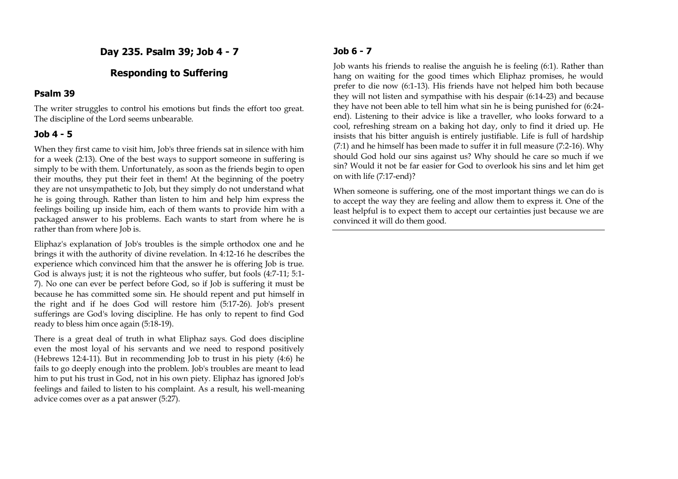**Day 235. Psalm 39; Job 4 - 7**

## **Responding to Suffering**

### **Psalm 39**

The writer struggles to control his emotions but finds the effort too great. The discipline of the Lord seems unbearable.

## **Job 4 - 5**

When they first came to visit him, Job's three friends sat in silence with him for a week (2:13). One of the best ways to support someone in suffering is simply to be with them. Unfortunately, as soon as the friends begin to open their mouths, they put their feet in them! At the beginning of the poetry they are not unsympathetic to Job, but they simply do not understand what he is going through. Rather than listen to him and help him express the feelings boiling up inside him, each of them wants to provide him with a packaged answer to his problems. Each wants to start from where he is rather than from where Job is.

Eliphaz's explanation of Job's troubles is the simple orthodox one and he brings it with the authority of divine revelation. In 4:12-16 he describes the experience which convinced him that the answer he is offering Job is true. God is always just; it is not the righteous who suffer, but fools (4:7-11; 5:1- 7). No one can ever be perfect before God, so if Job is suffering it must be because he has committed some sin. He should repent and put himself in the right and if he does God will restore him (5:17-26). Job's present sufferings are God's loving discipline. He has only to repent to find God ready to bless him once again (5:18-19).

There is a great deal of truth in what Eliphaz says. God does discipline even the most loyal of his servants and we need to respond positively (Hebrews 12:4-11). But in recommending Job to trust in his piety (4:6) he fails to go deeply enough into the problem. Job's troubles are meant to lead him to put his trust in God, not in his own piety. Eliphaz has ignored Job's feelings and failed to listen to his complaint. As a result, his well-meaning advice comes over as a pat answer (5:27).

# **Job 6 - 7**

Job wants his friends to realise the anguish he is feeling (6:1). Rather than hang on waiting for the good times which Eliphaz promises, he would prefer to die now (6:1-13). His friends have not helped him both because they will not listen and sympathise with his despair (6:14-23) and because they have not been able to tell him what sin he is being punished for (6:24 end). Listening to their advice is like a traveller, who looks forward to a cool, refreshing stream on a baking hot day, only to find it dried up. He insists that his bitter anguish is entirely justifiable. Life is full of hardship (7:1) and he himself has been made to suffer it in full measure (7:2-16). Why should God hold our sins against us? Why should he care so much if we sin? Would it not be far easier for God to overlook his sins and let him get on with life (7:17-end)?

When someone is suffering, one of the most important things we can do is to accept the way they are feeling and allow them to express it. One of the least helpful is to expect them to accept our certainties just because we are convinced it will do them good.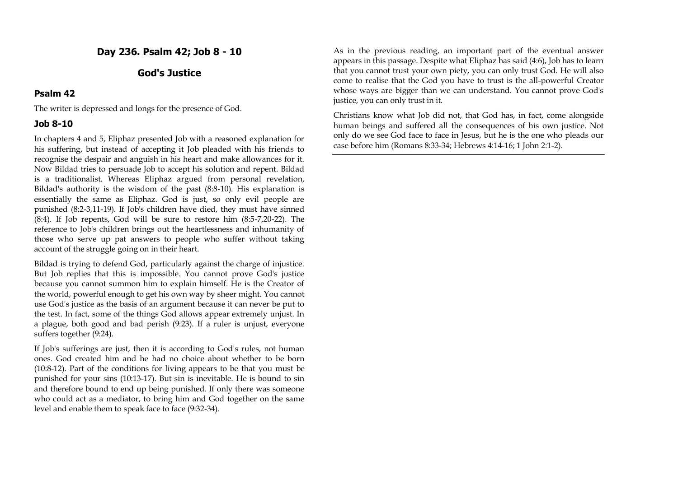**Day 236. Psalm 42; Job 8 - 10**

# **God's Justice**

#### **Psalm 42**

The writer is depressed and longs for the presence of God.

#### **Job 8-10**

In chapters 4 and 5, Eliphaz presented Job with a reasoned explanation for his suffering, but instead of accepting it Job pleaded with his friends to recognise the despair and anguish in his heart and make allowances for it. Now Bildad tries to persuade Job to accept his solution and repent. Bildad is a traditionalist. Whereas Eliphaz argued from personal revelation, Bildad's authority is the wisdom of the past (8:8-10). His explanation is essentially the same as Eliphaz. God is just, so only evil people are punished (8:2-3,11-19). If Job's children have died, they must have sinned (8:4). If Job repents, God will be sure to restore him (8:5-7,20-22). The reference to Job's children brings out the heartlessness and inhumanity of those who serve up pat answers to people who suffer without taking account of the struggle going on in their heart.

Bildad is trying to defend God, particularly against the charge of injustice. But Job replies that this is impossible. You cannot prove God's justice because you cannot summon him to explain himself. He is the Creator of the world, powerful enough to get his own way by sheer might. You cannot use God's justice as the basis of an argument because it can never be put to the test. In fact, some of the things God allows appear extremely unjust. In a plague, both good and bad perish (9:23). If a ruler is unjust, everyone suffers together (9:24).

If Job's sufferings are just, then it is according to God's rules, not human ones. God created him and he had no choice about whether to be born (10:8-12). Part of the conditions for living appears to be that you must be punished for your sins (10:13-17). But sin is inevitable. He is bound to sin and therefore bound to end up being punished. If only there was someone who could act as a mediator, to bring him and God together on the same level and enable them to speak face to face (9:32-34).

As in the previous reading, an important part of the eventual answer appears in this passage. Despite what Eliphaz has said (4:6), Job has to learn that you cannot trust your own piety, you can only trust God. He will also come to realise that the God you have to trust is the all-powerful Creator whose ways are bigger than we can understand. You cannot prove God's justice, you can only trust in it.

Christians know what Job did not, that God has, in fact, come alongside human beings and suffered all the consequences of his own justice. Not only do we see God face to face in Jesus, but he is the one who pleads our case before him (Romans 8:33-34; Hebrews 4:14-16; 1 John 2:1-2).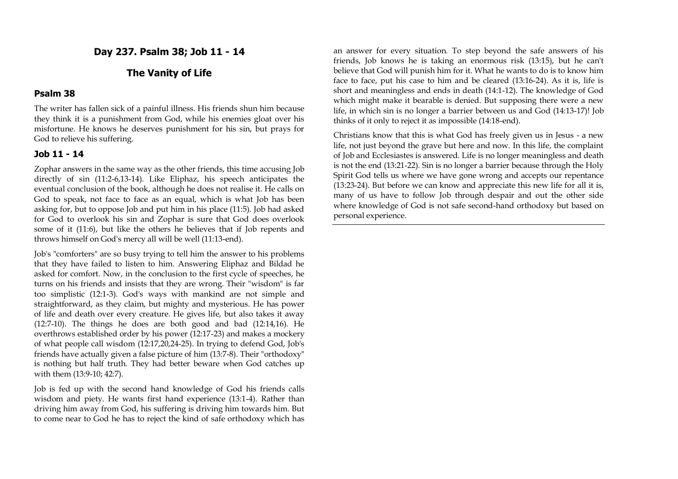**Day 237. Psalm 38; Job 11 - 14**

# **The Vanity of Life**

## **Psalm 38**

The writer has fallen sick of a painful illness. His friends shun him because they think it is a punishment from God, while his enemies gloat over his misfortune. He knows he deserves punishment for his sin, but prays for God to relieve his suffering.

#### **Job 11 - 14**

Zophar answers in the same way as the other friends, this time accusing Job directly of sin (11:2-6,13-14). Like Eliphaz, his speech anticipates the eventual conclusion of the book, although he does not realise it. He calls on God to speak, not face to face as an equal, which is what Job has been asking for, but to oppose Job and put him in his place (11:5). Job had asked for God to overlook his sin and Zophar is sure that God does overlook some of it (11:6), but like the others he believes that if Job repents and throws himself on God's mercy all will be well (11:13-end).

Job's "comforters" are so busy trying to tell him the answer to his problems that they have failed to listen to him. Answering Eliphaz and Bildad he asked for comfort. Now, in the conclusion to the first cycle of speeches, he turns on his friends and insists that they are wrong. Their "wisdom" is far too simplistic (12:1-3). God's ways with mankind are not simple and straightforward, as they claim, but mighty and mysterious. He has power of life and death over every creature. He gives life, but also takes it away (12:7-10). The things he does are both good and bad (12:14,16). He overthrows established order by his power (12:17-23) and makes a mockery of what people call wisdom (12:17,20,24-25). In trying to defend God, Job's friends have actually given a false picture of him (13:7-8). Their "orthodoxy" is nothing but half truth. They had better beware when God catches up with them (13:9-10; 42:7).

Job is fed up with the second hand knowledge of God his friends calls wisdom and piety. He wants first hand experience (13:1-4). Rather than driving him away from God, his suffering is driving him towards him. But to come near to God he has to reject the kind of safe orthodoxy which has

an answer for every situation. To step beyond the safe answers of his friends, Job knows he is taking an enormous risk (13:15), but he can't believe that God will punish him for it. What he wants to do is to know him face to face, put his case to him and be cleared (13:16-24). As it is, life is short and meaningless and ends in death (14:1-12). The knowledge of God which might make it bearable is denied. But supposing there were a new life, in which sin is no longer a barrier between us and God (14:13-17)! Job thinks of it only to reject it as impossible (14:18-end).

Christians know that this is what God has freely given us in Jesus - a new life, not just beyond the grave but here and now. In this life, the complaint of Job and Ecclesiastes is answered. Life is no longer meaningless and death is not the end (13:21-22). Sin is no longer a barrier because through the Holy Spirit God tells us where we have gone wrong and accepts our repentance (13:23-24). But before we can know and appreciate this new life for all it is, many of us have to follow Job through despair and out the other side where knowledge of God is not safe second-hand orthodoxy but based on personal experience.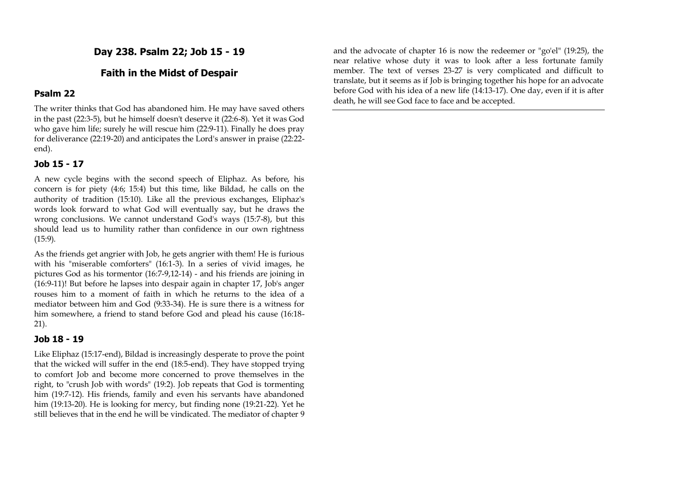**Day 238. Psalm 22; Job 15 - 19**

# **Faith in the Midst of Despair**

#### **Psalm 22**

The writer thinks that God has abandoned him. He may have saved others in the past (22:3-5), but he himself doesn't deserve it (22:6-8). Yet it was God who gave him life; surely he will rescue him (22:9-11). Finally he does pray for deliverance (22:19-20) and anticipates the Lord's answer in praise (22:22 end).

#### **Job 15 - 17**

A new cycle begins with the second speech of Eliphaz. As before, his concern is for piety (4:6; 15:4) but this time, like Bildad, he calls on the authority of tradition (15:10). Like all the previous exchanges, Eliphaz's words look forward to what God will eventually say, but he draws the wrong conclusions. We cannot understand God's ways (15:7-8), but this should lead us to humility rather than confidence in our own rightness (15:9).

As the friends get angrier with Job, he gets angrier with them! He is furious with his "miserable comforters" (16:1-3). In a series of vivid images, he pictures God as his tormentor (16:7-9,12-14) - and his friends are joining in (16:9-11)! But before he lapses into despair again in chapter 17, Job's anger rouses him to a moment of faith in which he returns to the idea of a mediator between him and God (9:33-34). He is sure there is a witness for him somewhere, a friend to stand before God and plead his cause (16:18- 21).

#### **Job 18 - 19**

Like Eliphaz (15:17-end), Bildad is increasingly desperate to prove the point that the wicked will suffer in the end (18:5-end). They have stopped trying to comfort Job and become more concerned to prove themselves in the right, to "crush Job with words" (19:2). Job repeats that God is tormenting him (19:7-12). His friends, family and even his servants have abandoned him (19:13-20). He is looking for mercy, but finding none (19:21-22). Yet he still believes that in the end he will be vindicated. The mediator of chapter 9

and the advocate of chapter 16 is now the redeemer or "go'el" (19:25), the near relative whose duty it was to look after a less fortunate family member. The text of verses 23-27 is very complicated and difficult to translate, but it seems as if Job is bringing together his hope for an advocate before God with his idea of a new life (14:13-17). One day, even if it is after death, he will see God face to face and be accepted.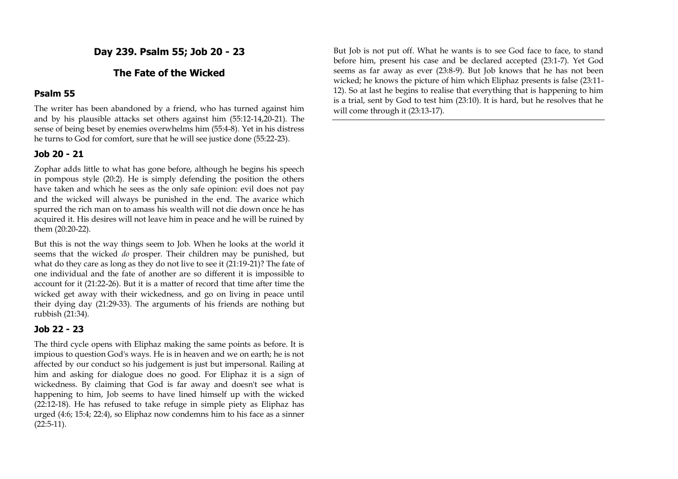**Day 239. Psalm 55; Job 20 - 23**

# **The Fate of the Wicked**

## **Psalm 55**

The writer has been abandoned by a friend, who has turned against him and by his plausible attacks set others against him (55:12-14,20-21). The sense of being beset by enemies overwhelms him (55:4-8). Yet in his distress he turns to God for comfort, sure that he will see justice done (55:22-23).

#### **Job 20 - 21**

Zophar adds little to what has gone before, although he begins his speech in pompous style (20:2). He is simply defending the position the others have taken and which he sees as the only safe opinion: evil does not pay and the wicked will always be punished in the end. The avarice which spurred the rich man on to amass his wealth will not die down once he has acquired it. His desires will not leave him in peace and he will be ruined by them (20:20-22).

But this is not the way things seem to Job. When he looks at the world it seems that the wicked *do* prosper. Their children may be punished, but what do they care as long as they do not live to see it (21:19-21)? The fate of one individual and the fate of another are so different it is impossible to account for it (21:22-26). But it is a matter of record that time after time the wicked get away with their wickedness, and go on living in peace until their dying day (21:29-33). The arguments of his friends are nothing but rubbish (21:34).

### **Job 22 - 23**

The third cycle opens with Eliphaz making the same points as before. It is impious to question God's ways. He is in heaven and we on earth; he is not affected by our conduct so his judgement is just but impersonal. Railing at him and asking for dialogue does no good. For Eliphaz it is a sign of wickedness. By claiming that God is far away and doesn't see what is happening to him, Job seems to have lined himself up with the wicked (22:12-18). He has refused to take refuge in simple piety as Eliphaz has urged (4:6; 15:4; 22:4), so Eliphaz now condemns him to his face as a sinner  $(22:5-11).$ 

But Job is not put off. What he wants is to see God face to face, to stand before him, present his case and be declared accepted (23:1-7). Yet God seems as far away as ever (23:8-9). But Job knows that he has not been wicked; he knows the picture of him which Eliphaz presents is false (23:11- 12). So at last he begins to realise that everything that is happening to him is a trial, sent by God to test him (23:10). It is hard, but he resolves that he will come through it (23:13-17).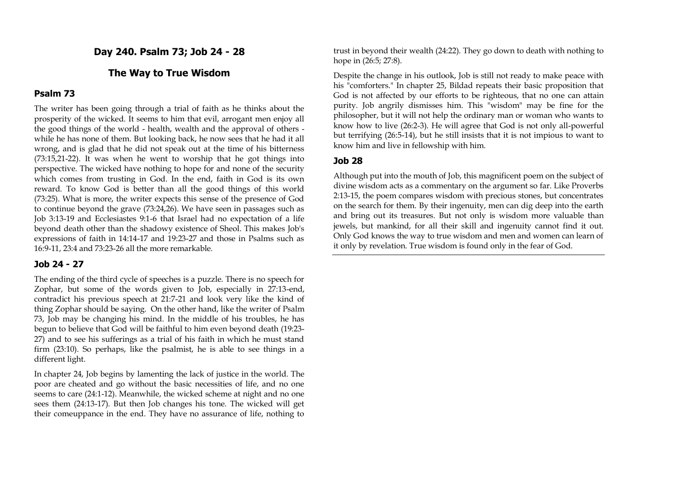**Day 240. Psalm 73; Job 24 - 28**

# **The Way to True Wisdom**

#### **Psalm 73**

The writer has been going through a trial of faith as he thinks about the prosperity of the wicked. It seems to him that evil, arrogant men enjoy all the good things of the world - health, wealth and the approval of others while he has none of them. But looking back, he now sees that he had it all wrong, and is glad that he did not speak out at the time of his bitterness (73:15,21-22). It was when he went to worship that he got things into perspective. The wicked have nothing to hope for and none of the security which comes from trusting in God. In the end, faith in God is its own reward. To know God is better than all the good things of this world (73:25). What is more, the writer expects this sense of the presence of God to continue beyond the grave (73:24,26). We have seen in passages such as Job 3:13-19 and Ecclesiastes 9:1-6 that Israel had no expectation of a life beyond death other than the shadowy existence of Sheol. This makes Job's expressions of faith in 14:14-17 and 19:23-27 and those in Psalms such as 16:9-11, 23:4 and 73:23-26 all the more remarkable.

#### **Job 24 - 27**

The ending of the third cycle of speeches is a puzzle. There is no speech for Zophar, but some of the words given to Job, especially in 27:13-end, contradict his previous speech at 21:7-21 and look very like the kind of thing Zophar should be saying. On the other hand, like the writer of Psalm 73, Job may be changing his mind. In the middle of his troubles, he has begun to believe that God will be faithful to him even beyond death (19:23- 27) and to see his sufferings as a trial of his faith in which he must stand firm (23:10). So perhaps, like the psalmist, he is able to see things in a different light.

In chapter 24, Job begins by lamenting the lack of justice in the world. The poor are cheated and go without the basic necessities of life, and no one seems to care (24:1-12). Meanwhile, the wicked scheme at night and no one sees them (24:13-17). But then Job changes his tone. The wicked will get their comeuppance in the end. They have no assurance of life, nothing to

trust in beyond their wealth (24:22). They go down to death with nothing to hope in (26:5; 27:8).

Despite the change in his outlook, Job is still not ready to make peace with his "comforters." In chapter 25, Bildad repeats their basic proposition that God is not affected by our efforts to be righteous, that no one can attain purity. Job angrily dismisses him. This "wisdom" may be fine for the philosopher, but it will not help the ordinary man or woman who wants to know how to live (26:2-3). He will agree that God is not only all-powerful but terrifying (26:5-14), but he still insists that it is not impious to want to know him and live in fellowship with him.

#### **Job 28**

Although put into the mouth of Job, this magnificent poem on the subject of divine wisdom acts as a commentary on the argument so far. Like Proverbs 2:13-15, the poem compares wisdom with precious stones, but concentrates on the search for them. By their ingenuity, men can dig deep into the earth and bring out its treasures. But not only is wisdom more valuable than jewels, but mankind, for all their skill and ingenuity cannot find it out. Only God knows the way to true wisdom and men and women can learn of it only by revelation. True wisdom is found only in the fear of God.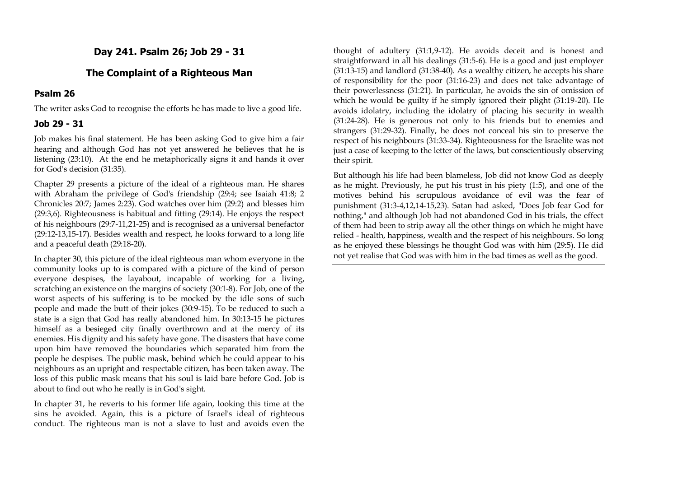**Day 241. Psalm 26; Job 29 - 31** 

# **The Complaint of a Righteous Man**

## **Psalm 26**

The writer asks God to recognise the efforts he has made to live a good life.

# **Job 29 - 31**

Job makes his final statement. He has been asking God to give him a fair hearing and although God has not yet answered he believes that he is listening (23:10). At the end he metaphorically signs it and hands it over for God's decision (31:35).

Chapter 29 presents a picture of the ideal of a righteous man. He shares with Abraham the privilege of God's friendship (29:4; see Isaiah 41:8; 2 Chronicles 20:7; James 2:23). God watches over him (29:2) and blesses him (29:3,6). Righteousness is habitual and fitting (29:14). He enjoys the respect of his neighbours (29:7-11,21-25) and is recognised as a universal benefactor (29:12-13,15-17). Besides wealth and respect, he looks forward to a long life and a peaceful death (29:18-20).

In chapter 30, this picture of the ideal righteous man whom everyone in the community looks up to is compared with a picture of the kind of person everyone despises, the layabout, incapable of working for a living, scratching an existence on the margins of society (30:1-8). For Job, one of the worst aspects of his suffering is to be mocked by the idle sons of such people and made the butt of their jokes (30:9-15). To be reduced to such a state is a sign that God has really abandoned him. In 30:13-15 he pictures himself as a besieged city finally overthrown and at the mercy of its enemies. His dignity and his safety have gone. The disasters that have come upon him have removed the boundaries which separated him from the people he despises. The public mask, behind which he could appear to his neighbours as an upright and respectable citizen, has been taken away. The loss of this public mask means that his soul is laid bare before God. Job is about to find out who he really is in God's sight.

In chapter 31, he reverts to his former life again, looking this time at the sins he avoided. Again, this is a picture of Israel's ideal of righteous conduct. The righteous man is not a slave to lust and avoids even the

thought of adultery (31:1,9-12). He avoids deceit and is honest and straightforward in all his dealings (31:5-6). He is a good and just employer (31:13-15) and landlord (31:38-40). As a wealthy citizen, he accepts his share of responsibility for the poor (31:16-23) and does not take advantage of their powerlessness (31:21). In particular, he avoids the sin of omission of which he would be guilty if he simply ignored their plight (31:19-20). He avoids idolatry, including the idolatry of placing his security in wealth (31:24-28). He is generous not only to his friends but to enemies and strangers (31:29-32). Finally, he does not conceal his sin to preserve the respect of his neighbours (31:33-34). Righteousness for the Israelite was not just a case of keeping to the letter of the laws, but conscientiously observing their spirit.

But although his life had been blameless, Job did not know God as deeply as he might. Previously, he put his trust in his piety (1:5), and one of the motives behind his scrupulous avoidance of evil was the fear of punishment (31:3-4,12,14-15,23). Satan had asked, "Does Job fear God for nothing," and although Job had not abandoned God in his trials, the effect of them had been to strip away all the other things on which he might have relied - health, happiness, wealth and the respect of his neighbours. So long as he enjoyed these blessings he thought God was with him (29:5). He did not yet realise that God was with him in the bad times as well as the good.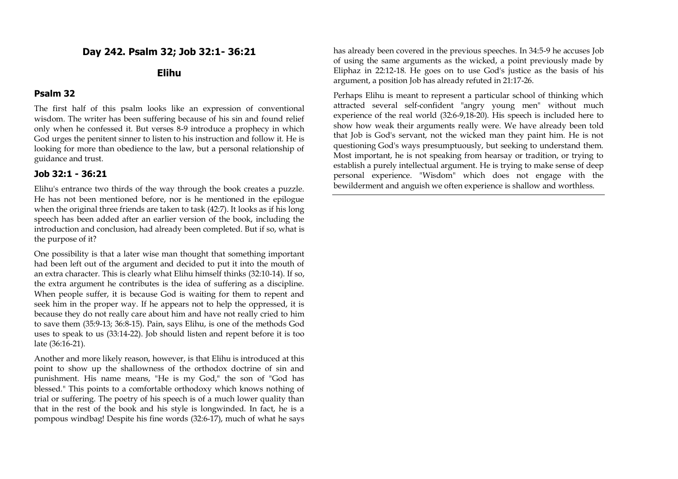# **Day 242. Psalm 32; Job 32:1- 36:21**

#### **Elihu**

#### **Psalm 32**

The first half of this psalm looks like an expression of conventional wisdom. The writer has been suffering because of his sin and found relief only when he confessed it. But verses 8-9 introduce a prophecy in which God urges the penitent sinner to listen to his instruction and follow it. He is looking for more than obedience to the law, but a personal relationship of guidance and trust.

### **Job 32:1 - 36:21**

Elihu's entrance two thirds of the way through the book creates a puzzle. He has not been mentioned before, nor is he mentioned in the epilogue when the original three friends are taken to task (42:7). It looks as if his long speech has been added after an earlier version of the book, including the introduction and conclusion, had already been completed. But if so, what is the purpose of it?

One possibility is that a later wise man thought that something important had been left out of the argument and decided to put it into the mouth of an extra character. This is clearly what Elihu himself thinks (32:10-14). If so, the extra argument he contributes is the idea of suffering as a discipline. When people suffer, it is because God is waiting for them to repent and seek him in the proper way. If he appears not to help the oppressed, it is because they do not really care about him and have not really cried to him to save them (35:9-13; 36:8-15). Pain, says Elihu, is one of the methods God uses to speak to us (33:14-22). Job should listen and repent before it is too late (36:16-21).

Another and more likely reason, however, is that Elihu is introduced at this point to show up the shallowness of the orthodox doctrine of sin and punishment. His name means, "He is my God," the son of "God has blessed." This points to a comfortable orthodoxy which knows nothing of trial or suffering. The poetry of his speech is of a much lower quality than that in the rest of the book and his style is longwinded. In fact, he is a pompous windbag! Despite his fine words (32:6-17), much of what he says has already been covered in the previous speeches. In 34:5-9 he accuses Job of using the same arguments as the wicked, a point previously made by Eliphaz in 22:12-18. He goes on to use God's justice as the basis of his argument, a position Job has already refuted in 21:17-26.

Perhaps Elihu is meant to represent a particular school of thinking which attracted several self-confident "angry young men" without much experience of the real world (32:6-9,18-20). His speech is included here to show how weak their arguments really were. We have already been told that Job is God's servant, not the wicked man they paint him. He is not questioning God's ways presumptuously, but seeking to understand them. Most important, he is not speaking from hearsay or tradition, or trying to establish a purely intellectual argument. He is trying to make sense of deep personal experience. "Wisdom" which does not engage with the bewilderment and anguish we often experience is shallow and worthless.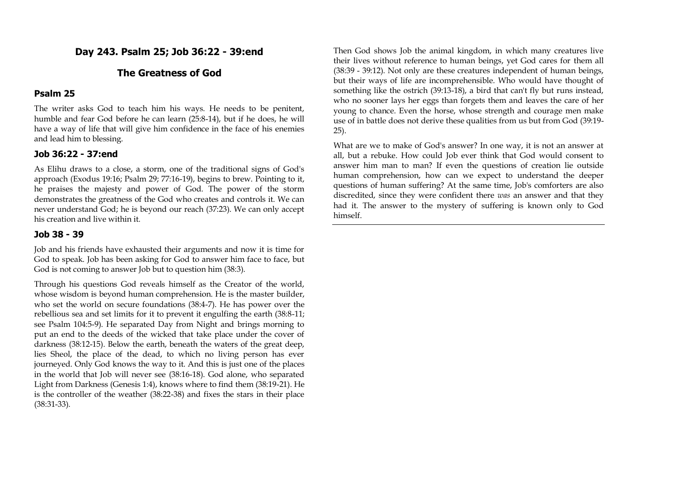# **Day 243. Psalm 25; Job 36:22 - 39:end**

## **The Greatness of God**

#### **Psalm 25**

The writer asks God to teach him his ways. He needs to be penitent, humble and fear God before he can learn (25:8-14), but if he does, he will have a way of life that will give him confidence in the face of his enemies and lead him to blessing.

#### **Job 36:22 - 37:end**

As Elihu draws to a close, a storm, one of the traditional signs of God's approach (Exodus 19:16; Psalm 29; 77:16-19), begins to brew. Pointing to it, he praises the majesty and power of God. The power of the storm demonstrates the greatness of the God who creates and controls it. We can never understand God; he is beyond our reach (37:23). We can only accept his creation and live within it.

#### **Job 38 - 39**

Job and his friends have exhausted their arguments and now it is time for God to speak. Job has been asking for God to answer him face to face, but God is not coming to answer Job but to question him (38:3).

Through his questions God reveals himself as the Creator of the world, whose wisdom is beyond human comprehension. He is the master builder, who set the world on secure foundations (38:4-7). He has power over the rebellious sea and set limits for it to prevent it engulfing the earth (38:8-11; see Psalm 104:5-9). He separated Day from Night and brings morning to put an end to the deeds of the wicked that take place under the cover of darkness (38:12-15). Below the earth, beneath the waters of the great deep, lies Sheol, the place of the dead, to which no living person has ever journeyed. Only God knows the way to it. And this is just one of the places in the world that Job will never see (38:16-18). God alone, who separated Light from Darkness (Genesis 1:4), knows where to find them (38:19-21). He is the controller of the weather (38:22-38) and fixes the stars in their place (38:31-33).

Then God shows Job the animal kingdom, in which many creatures live their lives without reference to human beings, yet God cares for them all (38:39 - 39:12). Not only are these creatures independent of human beings, but their ways of life are incomprehensible. Who would have thought of something like the ostrich (39:13-18), a bird that can't fly but runs instead, who no sooner lays her eggs than forgets them and leaves the care of her young to chance. Even the horse, whose strength and courage men make use of in battle does not derive these qualities from us but from God (39:19- 25).

What are we to make of God's answer? In one way, it is not an answer at all, but a rebuke. How could Job ever think that God would consent to answer him man to man? If even the questions of creation lie outside human comprehension, how can we expect to understand the deeper questions of human suffering? At the same time, Job's comforters are also discredited, since they were confident there *was* an answer and that they had it. The answer to the mystery of suffering is known only to God himself.